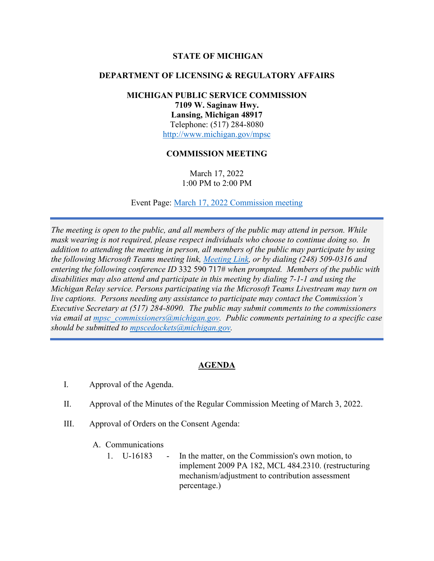## **STATE OF MICHIGAN**

### **DEPARTMENT OF LICENSING & REGULATORY AFFAIRS**

# **MICHIGAN PUBLIC SERVICE COMMISSION 7109 W. Saginaw Hwy. Lansing, Michigan 48917** Telephone: (517) 284-8080 <http://www.michigan.gov/mpsc>

## **COMMISSION MEETING**

March 17, 2022 1:00 PM to 2:00 PM

Event Page: [March 17, 2022 Commission meeting](https://bit.ly/3I9t6pz)

*The meeting is open to the public, and all members of the public may attend in person. While mask wearing is not required, please respect individuals who choose to continue doing so. In addition to attending the meeting in person, all members of the public may participate by using the following Microsoft Teams meeting link, [Meeting Link,](https://bit.ly/3tVW7jB) or by dialing (248) 509-0316 and entering the following conference ID* 332 590 717# *when prompted. Members of the public with disabilities may also attend and participate in this meeting by dialing 7-1-1 and using the Michigan Relay service. Persons participating via the Microsoft Teams Livestream may turn on live captions. Persons needing any assistance to participate may contact the Commission's Executive Secretary at (517) 284-8090. The public may submit comments to the commissioners via email at [mpsc\\_commissioners@michigan.gov.](mailto:mpsc_commissioners@michigan.gov) Public comments pertaining to a specific case should be submitted to [mpscedockets@michigan.gov.](mailto:mpscedockets@michigan.gov)*

# **AGENDA**

- I. Approval of the Agenda.
- II. Approval of the Minutes of the Regular Commission Meeting of March 3, 2022.
- III. Approval of Orders on the Consent Agenda:
	- A. Communications
		- 1. U-16183 In the matter, on the Commission's own motion, to implement 2009 PA 182, MCL 484.2310. (restructuring mechanism/adjustment to contribution assessment percentage.)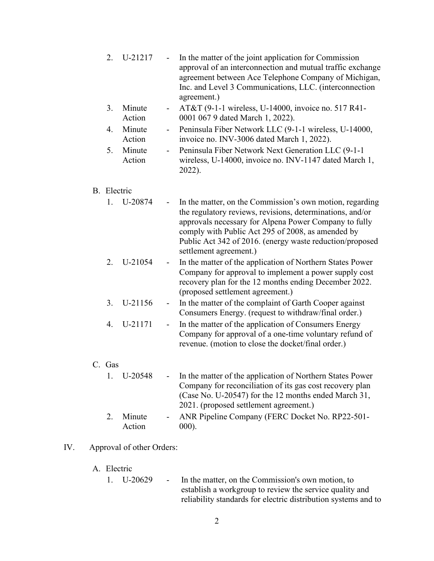- 2. U-21217 In the matter of the joint application for Commission approval of an interconnection and mutual traffic exchange agreement between Ace Telephone Company of Michigan, Inc. and Level 3 Communications, LLC. (interconnection agreement.)
- 3. Minute Action - AT&T (9-1-1 wireless, U-14000, invoice no. 517 R41- 0001 067 9 dated March 1, 2022).
- 4. Minute Action Peninsula Fiber Network LLC (9-1-1 wireless, U-14000, invoice no. INV-3006 dated March 1, 2022).
- 5. Minute Action Peninsula Fiber Network Next Generation LLC (9-1-1) wireless, U-14000, invoice no. INV-1147 dated March 1, 2022).

#### B. Electric

- 1. U-20874 In the matter, on the Commission's own motion, regarding the regulatory reviews, revisions, determinations, and/or approvals necessary for Alpena Power Company to fully comply with Public Act 295 of 2008, as amended by Public Act 342 of 2016. (energy waste reduction/proposed settlement agreement.)
- 2. U-21054 In the matter of the application of Northern States Power Company for approval to implement a power supply cost recovery plan for the 12 months ending December 2022. (proposed settlement agreement.)
- 3. U-21156 In the matter of the complaint of Garth Cooper against Consumers Energy. (request to withdraw/final order.)
- 4. U-21171 In the matter of the application of Consumers Energy Company for approval of a one-time voluntary refund of revenue. (motion to close the docket/final order.)

#### C. Gas

|    | 1. U-20548 | - In the matter of the application of Northern States Power |
|----|------------|-------------------------------------------------------------|
|    |            | Company for reconciliation of its gas cost recovery plan    |
|    |            | (Case No. U-20547) for the 12 months ended March 31,        |
|    |            | 2021. (proposed settlement agreement.)                      |
| 2. | Minute     | - ANR Pipeline Company (FERC Docket No. RP22-501-           |
|    | Action     | $000$ ).                                                    |

#### IV. Approval of other Orders:

### A. Electric

1. U-20629 - In the matter, on the Commission's own motion, to establish a workgroup to review the service quality and reliability standards for electric distribution systems and to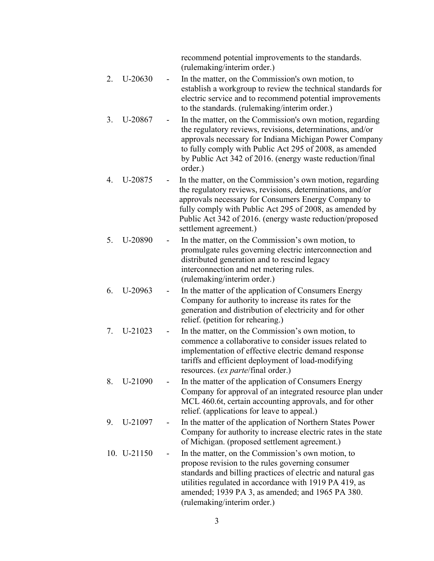recommend potential improvements to the standards. (rulemaking/interim order.)

- 2. U-20630 In the matter, on the Commission's own motion, to establish a workgroup to review the technical standards for electric service and to recommend potential improvements to the standards. (rulemaking/interim order.)
- 3. U-20867 In the matter, on the Commission's own motion, regarding the regulatory reviews, revisions, determinations, and/or approvals necessary for Indiana Michigan Power Company to fully comply with Public Act 295 of 2008, as amended by Public Act 342 of 2016. (energy waste reduction/final order.)
- 4. U-20875 In the matter, on the Commission's own motion, regarding the regulatory reviews, revisions, determinations, and/or approvals necessary for Consumers Energy Company to fully comply with Public Act 295 of 2008, as amended by Public Act 342 of 2016. (energy waste reduction/proposed settlement agreement.)
- 5. U-20890 In the matter, on the Commission's own motion, to promulgate rules governing electric interconnection and distributed generation and to rescind legacy interconnection and net metering rules. (rulemaking/interim order.)
- 6. U-20963 In the matter of the application of Consumers Energy Company for authority to increase its rates for the generation and distribution of electricity and for other relief. (petition for rehearing.)
- 7. U-21023 In the matter, on the Commission's own motion, to commence a collaborative to consider issues related to implementation of effective electric demand response tariffs and efficient deployment of load-modifying resources. (*ex parte*/final order.)
- 8. U-21090 In the matter of the application of Consumers Energy Company for approval of an integrated resource plan under MCL 460.6t, certain accounting approvals, and for other relief. (applications for leave to appeal.)
- 9. U-21097 In the matter of the application of Northern States Power Company for authority to increase electric rates in the state of Michigan. (proposed settlement agreement.)
- 10. U-21150 In the matter, on the Commission's own motion, to propose revision to the rules governing consumer standards and billing practices of electric and natural gas utilities regulated in accordance with 1919 PA 419, as amended; 1939 PA 3, as amended; and 1965 PA 380. (rulemaking/interim order.)